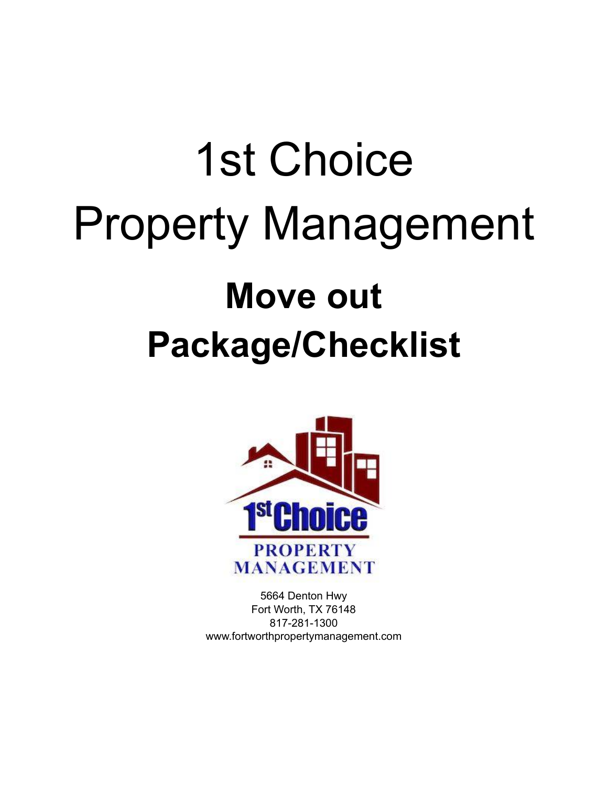# 1st Choice Property Management **Move out Package/Checklist**



5664 Denton Hwy Fort Worth, TX 76148 817-281-1300 www.fortworthpropertymanagement.com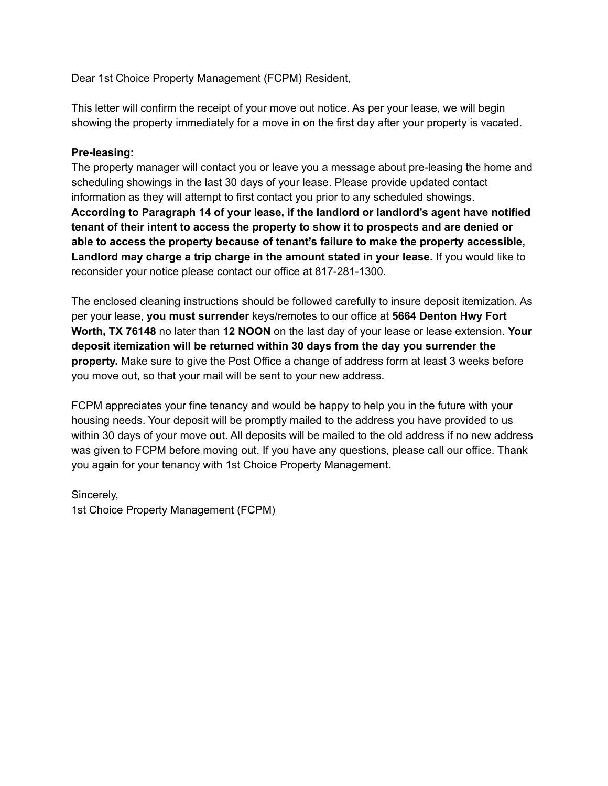Dear 1st Choice Property Management (FCPM) Resident,

This letter will confirm the receipt of your move out notice. As per your lease, we will begin showing the property immediately for a move in on the first day after your property is vacated.

#### **Pre-leasing:**

The property manager will contact you or leave you a message about pre-leasing the home and scheduling showings in the last 30 days of your lease. Please provide updated contact information as they will attempt to first contact you prior to any scheduled showings. **According to Paragraph 14 of your lease, if the landlord or landlord's agent have notified tenant of their intent to access the property to show it to prospects and are denied or able to access the property because of tenant's failure to make the property accessible, Landlord may charge a trip charge in the amount stated in your lease.** If you would like to reconsider your notice please contact our office at 817-281-1300.

The enclosed cleaning instructions should be followed carefully to insure deposit itemization. As per your lease, **you must surrender** keys/remotes to our office at **5664 Denton Hwy Fort Worth, TX 76148** no later than **12 NOON** on the last day of your lease or lease extension. **Your deposit itemization will be returned within 30 days from the day you surrender the property.** Make sure to give the Post Office a change of address form at least 3 weeks before you move out, so that your mail will be sent to your new address.

FCPM appreciates your fine tenancy and would be happy to help you in the future with your housing needs. Your deposit will be promptly mailed to the address you have provided to us within 30 days of your move out. All deposits will be mailed to the old address if no new address was given to FCPM before moving out. If you have any questions, please call our office. Thank you again for your tenancy with 1st Choice Property Management.

Sincerely, 1st Choice Property Management (FCPM)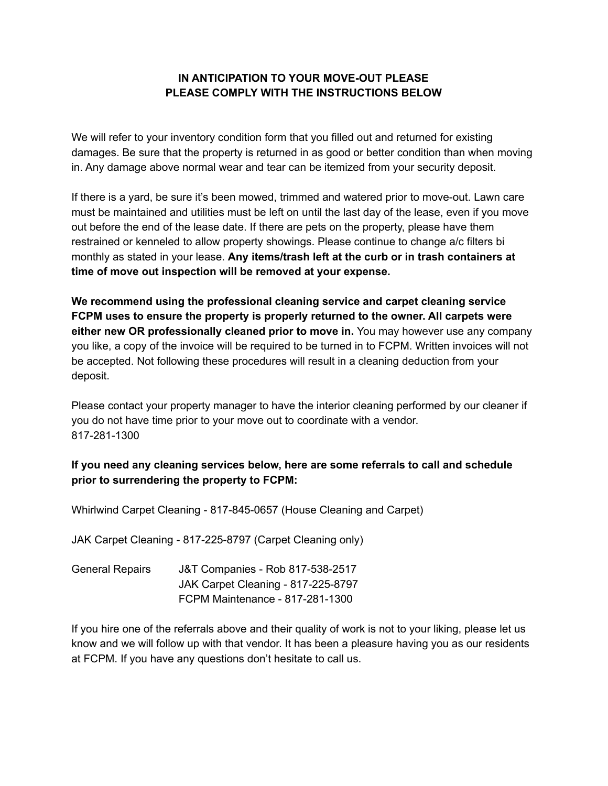#### **IN ANTICIPATION TO YOUR MOVE-OUT PLEASE PLEASE COMPLY WITH THE INSTRUCTIONS BELOW**

We will refer to your inventory condition form that you filled out and returned for existing damages. Be sure that the property is returned in as good or better condition than when moving in. Any damage above normal wear and tear can be itemized from your security deposit.

If there is a yard, be sure it's been mowed, trimmed and watered prior to move-out. Lawn care must be maintained and utilities must be left on until the last day of the lease, even if you move out before the end of the lease date. If there are pets on the property, please have them restrained or kenneled to allow property showings. Please continue to change a/c filters bi monthly as stated in your lease. **Any items/trash left at the curb or in trash containers at time of move out inspection will be removed at your expense.**

**We recommend using the professional cleaning service and carpet cleaning service FCPM uses to ensure the property is properly returned to the owner. All carpets were either new OR professionally cleaned prior to move in.** You may however use any company you like, a copy of the invoice will be required to be turned in to FCPM. Written invoices will not be accepted. Not following these procedures will result in a cleaning deduction from your deposit.

Please contact your property manager to have the interior cleaning performed by our cleaner if you do not have time prior to your move out to coordinate with a vendor. 817-281-1300

### **If you need any cleaning services below, here are some referrals to call and schedule prior to surrendering the property to FCPM:**

Whirlwind Carpet Cleaning - 817-845-0657 (House Cleaning and Carpet)

JAK Carpet Cleaning - 817-225-8797 (Carpet Cleaning only)

General Repairs J&T Companies - Rob 817-538-2517 JAK Carpet Cleaning - 817-225-8797 FCPM Maintenance - 817-281-1300

If you hire one of the referrals above and their quality of work is not to your liking, please let us know and we will follow up with that vendor. It has been a pleasure having you as our residents at FCPM. If you have any questions don't hesitate to call us.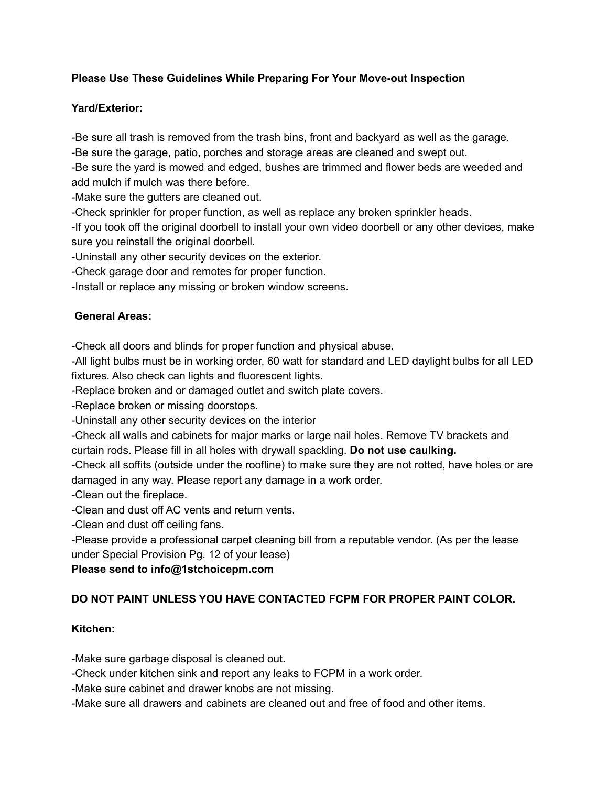### **Please Use These Guidelines While Preparing For Your Move-out Inspection**

#### **Yard/Exterior:**

-Be sure all trash is removed from the trash bins, front and backyard as well as the garage.

-Be sure the garage, patio, porches and storage areas are cleaned and swept out.

-Be sure the yard is mowed and edged, bushes are trimmed and flower beds are weeded and add mulch if mulch was there before.

-Make sure the gutters are cleaned out.

-Check sprinkler for proper function, as well as replace any broken sprinkler heads.

-If you took off the original doorbell to install your own video doorbell or any other devices, make sure you reinstall the original doorbell.

-Uninstall any other security devices on the exterior.

-Check garage door and remotes for proper function.

-Install or replace any missing or broken window screens.

### **General Areas:**

-Check all doors and blinds for proper function and physical abuse.

-All light bulbs must be in working order, 60 watt for standard and LED daylight bulbs for all LED fixtures. Also check can lights and fluorescent lights.

-Replace broken and or damaged outlet and switch plate covers.

-Replace broken or missing doorstops.

-Uninstall any other security devices on the interior

-Check all walls and cabinets for major marks or large nail holes. Remove TV brackets and curtain rods. Please fill in all holes with drywall spackling. **Do not use caulking.**

-Check all soffits (outside under the roofline) to make sure they are not rotted, have holes or are damaged in any way. Please report any damage in a work order.

-Clean out the fireplace.

-Clean and dust off AC vents and return vents.

-Clean and dust off ceiling fans.

-Please provide a professional carpet cleaning bill from a reputable vendor. (As per the lease under Special Provision Pg. 12 of your lease)

# **Please send to info@1stchoicepm.com**

# **DO NOT PAINT UNLESS YOU HAVE CONTACTED FCPM FOR PROPER PAINT COLOR.**

# **Kitchen:**

-Make sure garbage disposal is cleaned out.

-Check under kitchen sink and report any leaks to FCPM in a work order.

-Make sure cabinet and drawer knobs are not missing.

-Make sure all drawers and cabinets are cleaned out and free of food and other items.